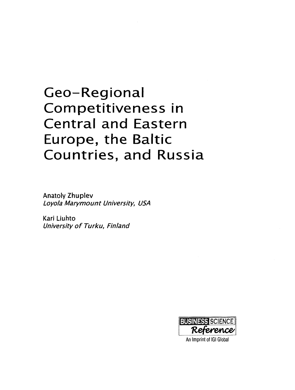# Geo-Regional Competitiveness in **Central and Eastern** Europe, the Baltic Countries, and Russia

**Anatoly Zhuplev** Loyola Marymount University, USA

Kari Liuhto University of Turku, Finland



An Imprint of IGI Global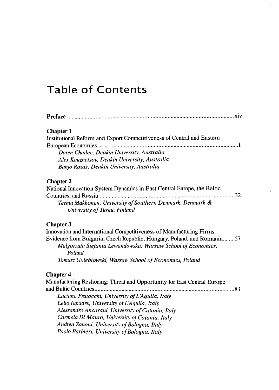## Table of Contents

| <b>Chapter 1</b>                                                        |
|-------------------------------------------------------------------------|
| Institutional Reform and Export Competitiveness of Central and Eastern  |
| European Economies                                                      |
| Doren Chadee, Deakin University, Australia                              |
| Alex Kouznetsov, Deakin University, Australia                           |
| Banjo Roxas, Deakin University, Australia                               |
| <b>Chapter 2</b>                                                        |
| National Innovation System Dynamics in East Central Europe, the Baltic  |
| Countries, and Russia<br>. 32                                           |
| Teemu Makkonen, University of Southern Denmark, Denmark &               |
| University of Turku, Finland                                            |
| <b>Chapter 3</b>                                                        |
| Innovation and International Competitiveness of Manufacturing Firms:    |
| Evidence from Bulgaria, Czech Republic, Hungary, Poland, and Romania57  |
| Malgorzata Stefania Lewandowska, Warsaw School of Economics,            |
| Poland                                                                  |
| Tomasz Golebiowski, Warsaw School of Economics, Poland                  |
| <b>Chapter 4</b>                                                        |
| Manufacturing Reshoring: Threat and Opportunity for East Central Europe |
|                                                                         |
| Luciano Fratocchi, University of L'Aquila, Italy                        |
| Lelio Iapadre, University of L'Aquila, Italy                            |
| Alessandro Ancarani, University of Catania, Italy                       |
| Carmela Di Mauro, University of Catania, Italy                          |
| Andrea Zanoni, University of Bologna, Italy                             |
| Paolo Barbieri, University of Bologna, Italy                            |
|                                                                         |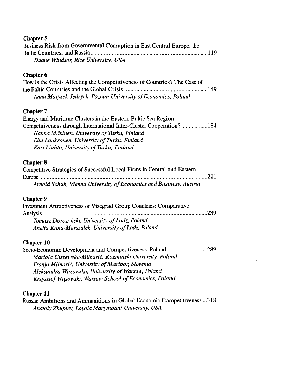#### Chapter 5

| Business Risk from Governmental Corruption in East Central Europe, the |  |
|------------------------------------------------------------------------|--|
|                                                                        |  |
| Duane Windsor, Rice University, USA                                    |  |

#### Chapter 6

| How Is the Crisis Affecting the Competitiveness of Countries? The Case of |  |
|---------------------------------------------------------------------------|--|
|                                                                           |  |
| Anna Matysek-Jędrych, Poznan University of Economics, Poland              |  |

#### Chapter 7

| Energy and Maritime Clusters in the Eastern Baltic Sea Region:      |
|---------------------------------------------------------------------|
| Competitiveness through International Inter-Cluster Cooperation?184 |
| Hanna Mäkinen, University of Turku, Finland                         |
| Eini Laaksonen, University of Turku, Finland                        |
| Kari Liuhto, University of Turku, Finland                           |

#### Chapter 8

| Competitive Strategies of Successful Local Firms in Central and Eastern |
|-------------------------------------------------------------------------|
|                                                                         |
| Arnold Schuh, Vienna University of Economics and Business, Austria      |

#### Chapter 9

| Investment Attractiveness of Visegrad Group Countries: Comparative |  |
|--------------------------------------------------------------------|--|
|                                                                    |  |
| Tomasz Dorożyński, University of Lodz, Poland                      |  |
| Anetta Kuna-Marszałek, University of Lodz, Poland                  |  |

#### Chapter 10

| Socio-Economic Development and Competitiveness: Poland289 |  |
|-----------------------------------------------------------|--|
| Mariola Ciszewska-Mlinarič, Kozminski University, Poland  |  |
| Franjo Mlinarič, University of Maribor, Slovenia          |  |
| Aleksandra Wasowska, University of Warsaw, Poland         |  |
| Krzysztof Wąsowski, Warsaw School of Economics, Poland    |  |

#### Chapter 11

Russia: Ambitions and Ammunitions in Global Economic Competitiveness ...318 *Anatoly Zhuplev, Loyola Marymount University, USA*